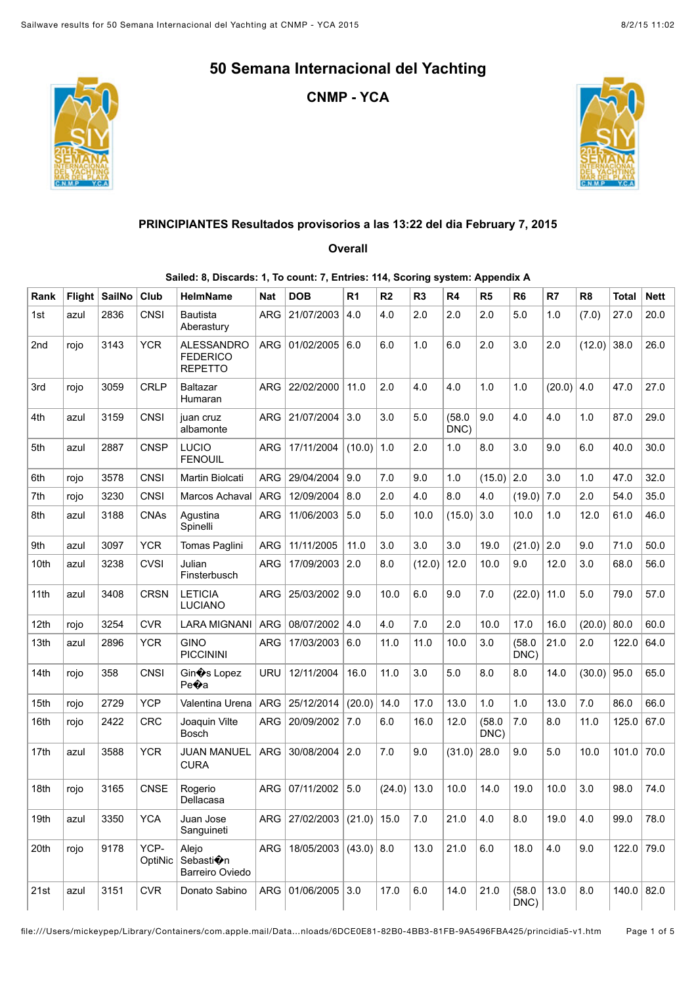**CNMP - YCA**





## **PRINCIPIANTES Resultados provisorios a las 13:22 del dia February 7, 2015**

## **Overall**

## **Sailed: 8, Discards: 1, To count: 7, Entries: 114, Scoring system: Appendix A**

| Rank | <b>Flight</b> | <b>SailNo</b> | Club            | <b>HelmName</b>                                        | Nat        | <b>DOB</b>                       | R <sub>1</sub> | R <sub>2</sub> | R <sub>3</sub> | R4             | R <sub>5</sub> | R <sub>6</sub> | R7     | R <sub>8</sub> | Total        | <b>Nett</b> |
|------|---------------|---------------|-----------------|--------------------------------------------------------|------------|----------------------------------|----------------|----------------|----------------|----------------|----------------|----------------|--------|----------------|--------------|-------------|
| 1st  | azul          | 2836          | <b>CNSI</b>     | <b>Bautista</b><br>Aberastury                          | <b>ARG</b> | 21/07/2003                       | 4.0            | 4.0            | 2.0            | 2.0            | 2.0            | 5.0            | 1.0    | (7.0)          | 27.0         | 20.0        |
| 2nd  | rojo          | 3143          | <b>YCR</b>      | <b>ALESSANDRO</b><br><b>FEDERICO</b><br><b>REPETTO</b> | <b>ARG</b> | 01/02/2005                       | 6.0            | 6.0            | 1.0            | 6.0            | 2.0            | 3.0            | 2.0    | (12.0)         | 38.0         | 26.0        |
| 3rd  | rojo          | 3059          | <b>CRLP</b>     | <b>Baltazar</b><br>Humaran                             | <b>ARG</b> | 22/02/2000                       | 11.0           | 2.0            | 4.0            | 4.0            | 1.0            | 1.0            | (20.0) | 4.0            | 47.0         | 27.0        |
| 4th  | azul          | 3159          | <b>CNSI</b>     | juan cruz<br>albamonte                                 | ARG        | 21/07/2004                       | 3.0            | 3.0            | 5.0            | (58.0)<br>DNC) | 9.0            | 4.0            | 4.0    | 1.0            | 87.0         | 29.0        |
| 5th  | azul          | 2887          | <b>CNSP</b>     | LUCIO<br><b>FENOUIL</b>                                | <b>ARG</b> | 17/11/2004                       | (10.0)         | 1.0            | 2.0            | 1.0            | 8.0            | 3.0            | 9.0    | 6.0            | 40.0         | 30.0        |
| 6th  | rojo          | 3578          | CNSI            | Martin Biolcati                                        | <b>ARG</b> | 29/04/2004                       | 9.0            | 7.0            | 9.0            | 1.0            | (15.0)         | 2.0            | 3.0    | 1.0            | 47.0         | 32.0        |
| 7th  | rojo          | 3230          | <b>CNSI</b>     | Marcos Achaval                                         | <b>ARG</b> | 12/09/2004                       | 8.0            | 2.0            | 4.0            | 8.0            | 4.0            | (19.0)         | 7.0    | 2.0            | 54.0         | 35.0        |
| 8th  | azul          | 3188          | <b>CNAs</b>     | Agustina<br>Spinelli                                   | <b>ARG</b> | 11/06/2003                       | 5.0            | 5.0            | 10.0           | (15.0)         | 3.0            | 10.0           | 1.0    | 12.0           | 61.0         | 46.0        |
| 9th  | azul          | 3097          | <b>YCR</b>      | Tomas Paglini                                          | <b>ARG</b> | 11/11/2005                       | 11.0           | 3.0            | 3.0            | 3.0            | 19.0           | (21.0)         | 2.0    | 9.0            | 71.0         | 50.0        |
| 10th | azul          | 3238          | <b>CVSI</b>     | Julian<br>Finsterbusch                                 | <b>ARG</b> | 17/09/2003                       | 2.0            | 8.0            | (12.0)         | 12.0           | 10.0           | 9.0            | 12.0   | 3.0            | 68.0         | 56.0        |
| 11th | azul          | 3408          | <b>CRSN</b>     | <b>LETICIA</b><br><b>LUCIANO</b>                       | <b>ARG</b> | 25/03/2002                       | 9.0            | 10.0           | 6.0            | 9.0            | 7.0            | (22.0)         | 11.0   | 5.0            | 79.0         | 57.0        |
| 12th | rojo          | 3254          | <b>CVR</b>      | <b>LARA MIGNANI</b>                                    | <b>ARG</b> | 08/07/2002                       | 4.0            | 4.0            | 7.0            | 2.0            | 10.0           | 17.0           | 16.0   | (20.0)         | 80.0         | 60.0        |
| 13th | azul          | 2896          | <b>YCR</b>      | <b>GINO</b><br><b>PICCININI</b>                        | <b>ARG</b> | 17/03/2003                       | 6.0            | 11.0           | 11.0           | 10.0           | 3.0            | (58.0)<br>DNC) | 21.0   | 2.0            | 122.0        | 64.0        |
| 14th | rojo          | 358           | <b>CNSI</b>     | Gin $\hat{\mathbf{\bullet}}$ s Lopez<br>Pe�a           | <b>URU</b> | 12/11/2004                       | 16.0           | 11.0           | 3.0            | 5.0            | 8.0            | 8.0            | 14.0   | (30.0)         | 95.0         | 65.0        |
| 15th | rojo          | 2729          | <b>YCP</b>      | Valentina Urena                                        | <b>ARG</b> | 25/12/2014                       | (20.0)         | 14.0           | 17.0           | 13.0           | 1.0            | 1.0            | 13.0   | 7.0            | 86.0         | 66.0        |
| 16th | rojo          | 2422          | <b>CRC</b>      | Joaquin Vilte<br><b>Bosch</b>                          | <b>ARG</b> | 20/09/2002                       | 7.0            | 6.0            | 16.0           | 12.0           | (58.0)<br>DNC) | 7.0            | 8.0    | 11.0           | 125.0        | 67.0        |
| 17th | azul          | 3588          | <b>YCR</b>      | <b>JUAN MANUEL</b><br><b>CURA</b>                      | <b>ARG</b> | 30/08/2004                       | 2.0            | 7.0            | 9.0            | (31.0)         | 28.0           | 9.0            | 5.0    | 10.0           | 101.0        | 70.0        |
| 18th | rojo          | 3165          | <b>CNSE</b>     | Rogerio<br>Dellacasa                                   | <b>ARG</b> | 07/11/2002                       | 5.0            | (24.0)         | 13.0           | 10.0           | 14.0           | 19.0           | 10.0   | 3.0            | 98.0         | 74.0        |
| 19th | azul          | 3350          | <b>YCA</b>      | Juan Jose<br>Sanguineti                                |            | ARG   27/02/2003   (21.0)   15.0 |                |                | 7.0            | 21.0           | 4.0            | 8.0            | 19.0   | 4.0            | 99.0         | 78.0        |
| 20th | rojo          | 9178          | YCP-<br>OptiNic | Alejo<br>Sebasti�n<br>Barreiro Oviedo                  | ARG        | $18/05/2003$ (43.0)              |                | 8.0            | 13.0           | 21.0           | 6.0            | 18.0           | 4.0    | 9.0            | 122.0        | 79.0        |
| 21st | azul          | 3151          | <b>CVR</b>      | Donato Sabino                                          |            | ARG 01/06/2005 3.0               |                | 17.0           | 6.0            | 14.0           | 21.0           | (58.0)<br>DNC) | 13.0   | 8.0            | $140.0$ 82.0 |             |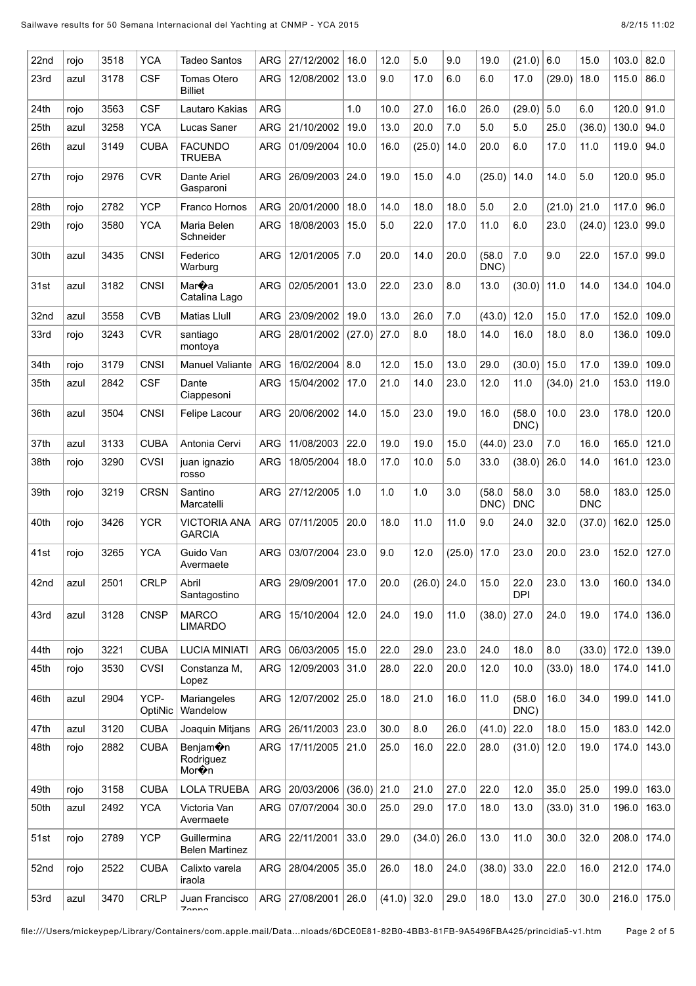| 22nd | rojo | 3518 | <b>YCA</b>      | Tadeo Santos                                | ARG        | 27/12/2002 | 16.0   | 12.0   | 5.0    | 9.0    | 19.0           | (21.0)             | 6.0    | 15.0               | 103.0 | 82.0  |
|------|------|------|-----------------|---------------------------------------------|------------|------------|--------|--------|--------|--------|----------------|--------------------|--------|--------------------|-------|-------|
| 23rd | azul | 3178 | <b>CSF</b>      | Tomas Otero<br><b>Billiet</b>               | <b>ARG</b> | 12/08/2002 | 13.0   | 9.0    | 17.0   | 6.0    | 6.0            | 17.0               | (29.0) | 18.0               | 115.0 | 86.0  |
| 24th | rojo | 3563 | <b>CSF</b>      | Lautaro Kakias                              | <b>ARG</b> |            | 1.0    | 10.0   | 27.0   | 16.0   | 26.0           | $(29.0)$ 5.0       |        | 6.0                | 120.0 | 91.0  |
| 25th | azul | 3258 | <b>YCA</b>      | Lucas Saner                                 | <b>ARG</b> | 21/10/2002 | 19.0   | 13.0   | 20.0   | 7.0    | 5.0            | 5.0                | 25.0   | (36.0)             | 130.0 | 94.0  |
| 26th | azul | 3149 | <b>CUBA</b>     | <b>FACUNDO</b><br><b>TRUEBA</b>             | <b>ARG</b> | 01/09/2004 | 10.0   | 16.0   | (25.0) | 14.0   | 20.0           | 6.0                | 17.0   | 11.0               | 119.0 | 94.0  |
| 27th | rojo | 2976 | <b>CVR</b>      | Dante Ariel<br>Gasparoni                    | <b>ARG</b> | 26/09/2003 | 24.0   | 19.0   | 15.0   | 4.0    | (25.0)         | 14.0               | 14.0   | 5.0                | 120.0 | 95.0  |
| 28th | rojo | 2782 | <b>YCP</b>      | Franco Hornos                               | <b>ARG</b> | 20/01/2000 | 18.0   | 14.0   | 18.0   | 18.0   | 5.0            | 2.0                | (21.0) | 21.0               | 117.0 | 96.0  |
| 29th | rojo | 3580 | <b>YCA</b>      | Maria Belen<br>Schneider                    | <b>ARG</b> | 18/08/2003 | 15.0   | 5.0    | 22.0   | 17.0   | 11.0           | 6.0                | 23.0   | (24.0)             | 123.0 | 99.0  |
| 30th | azul | 3435 | <b>CNSI</b>     | Federico<br>Warburg                         | ARG        | 12/01/2005 | 7.0    | 20.0   | 14.0   | 20.0   | (58.0)<br>DNC) | 7.0                | 9.0    | 22.0               | 157.0 | 99.0  |
| 31st | azul | 3182 | <b>CNSI</b>     | Mar <b></b> a<br>Catalina Lago              | <b>ARG</b> | 02/05/2001 | 13.0   | 22.0   | 23.0   | 8.0    | 13.0           | (30.0)             | 11.0   | 14.0               | 134.0 | 104.0 |
| 32nd | azul | 3558 | <b>CVB</b>      | <b>Matias Llull</b>                         | ARG        | 23/09/2002 | 19.0   | 13.0   | 26.0   | 7.0    | (43.0)         | 12.0               | 15.0   | 17.0               | 152.0 | 109.0 |
| 33rd | rojo | 3243 | <b>CVR</b>      | santiago<br>montoya                         | <b>ARG</b> | 28/01/2002 | (27.0) | 27.0   | 8.0    | 18.0   | 14.0           | 16.0               | 18.0   | 8.0                | 136.0 | 109.0 |
| 34th | rojo | 3179 | <b>CNSI</b>     | <b>Manuel Valiante</b>                      | <b>ARG</b> | 16/02/2004 | 8.0    | 12.0   | 15.0   | 13.0   | 29.0           | (30.0)             | 15.0   | 17.0               | 139.0 | 109.0 |
| 35th | azul | 2842 | <b>CSF</b>      | Dante<br>Ciappesoni                         | <b>ARG</b> | 15/04/2002 | 17.0   | 21.0   | 14.0   | 23.0   | 12.0           | 11.0               | (34.0) | 21.0               | 153.0 | 119.0 |
| 36th | azul | 3504 | <b>CNSI</b>     | Felipe Lacour                               | ARG        | 20/06/2002 | 14.0   | 15.0   | 23.0   | 19.0   | 16.0           | (58.0)<br>DNC)     | 10.0   | 23.0               | 178.0 | 120.0 |
| 37th | azul | 3133 | <b>CUBA</b>     | Antonia Cervi                               | <b>ARG</b> | 11/08/2003 | 22.0   | 19.0   | 19.0   | 15.0   | (44.0)         | 23.0               | 7.0    | 16.0               | 165.0 | 121.0 |
| 38th | rojo | 3290 | <b>CVSI</b>     | juan ignazio<br>rosso                       | <b>ARG</b> | 18/05/2004 | 18.0   | 17.0   | 10.0   | 5.0    | 33.0           | (38.0)             | 26.0   | 14.0               | 161.0 | 123.0 |
| 39th | rojo | 3219 | <b>CRSN</b>     | Santino<br>Marcatelli                       | <b>ARG</b> | 27/12/2005 | 1.0    | 1.0    | 1.0    | 3.0    | (58.0)<br>DNC) | 58.0<br><b>DNC</b> | 3.0    | 58.0<br><b>DNC</b> | 183.0 | 125.0 |
| 40th | rojo | 3426 | <b>YCR</b>      | <b>VICTORIA ANA</b><br><b>GARCIA</b>        | <b>ARG</b> | 07/11/2005 | 20.0   | 18.0   | 11.0   | 11.0   | 9.0            | 24.0               | 32.0   | (37.0)             | 162.0 | 125.0 |
| 41st | rojo | 3265 | <b>YCA</b>      | Guido Van<br>Avermaete                      | <b>ARG</b> | 03/07/2004 | 23.0   | 9.0    | 12.0   | (25.0) | 17.0           | 23.0               | 20.0   | 23.0               | 152.0 | 127.0 |
| 42nd | azul | 2501 | <b>CRLP</b>     | Abril<br>Santagostino                       | <b>ARG</b> | 29/09/2001 | 17.0   | 20.0   | (26.0) | 24.0   | 15.0           | 22.0<br><b>DPI</b> | 23.0   | 13.0               | 160.0 | 134.0 |
| 43rd | azul | 3128 | <b>CNSP</b>     | <b>MARCO</b><br><b>LIMARDO</b>              | <b>ARG</b> | 15/10/2004 | 12.0   | 24.0   | 19.0   | 11.0   | (38.0)         | 27.0               | 24.0   | 19.0               | 174.0 | 136.0 |
| 44th | rojo | 3221 | <b>CUBA</b>     | <b>LUCIA MINIATI</b>                        | <b>ARG</b> | 06/03/2005 | 15.0   | 22.0   | 29.0   | 23.0   | 24.0           | 18.0               | 8.0    | (33.0)             | 172.0 | 139.0 |
| 45th | rojo | 3530 | <b>CVSI</b>     | Constanza M,<br>Lopez                       | <b>ARG</b> | 12/09/2003 | 31.0   | 28.0   | 22.0   | 20.0   | 12.0           | 10.0               | (33.0) | 18.0               | 174.0 | 141.0 |
| 46th | azul | 2904 | YCP-<br>OptiNic | Mariangeles<br>Wandelow                     | <b>ARG</b> | 12/07/2002 | 25.0   | 18.0   | 21.0   | 16.0   | 11.0           | (58.0)<br>DNC)     | 16.0   | 34.0               | 199.0 | 141.0 |
| 47th | azul | 3120 | <b>CUBA</b>     | Joaquin Mitjans                             | ARG        | 26/11/2003 | 23.0   | 30.0   | 8.0    | 26.0   | (41.0)         | 22.0               | 18.0   | 15.0               | 183.0 | 142.0 |
| 48th | rojo | 2882 | <b>CUBA</b>     | Benjam <sup>o</sup> n<br>Rodriguez<br>Mor�n | <b>ARG</b> | 17/11/2005 | 21.0   | 25.0   | 16.0   | 22.0   | 28.0           | (31.0)             | 12.0   | 19.0               | 174.0 | 143.0 |
| 49th | rojo | 3158 | <b>CUBA</b>     | <b>LOLA TRUEBA</b>                          | ARG        | 20/03/2006 | (36.0) | 21.0   | 21.0   | 27.0   | 22.0           | 12.0               | 35.0   | 25.0               | 199.0 | 163.0 |
| 50th | azul | 2492 | <b>YCA</b>      | Victoria Van<br>Avermaete                   | <b>ARG</b> | 07/07/2004 | 30.0   | 25.0   | 29.0   | 17.0   | 18.0           | 13.0               | (33.0) | 31.0               | 196.0 | 163.0 |
| 51st | rojo | 2789 | <b>YCP</b>      | Guillermina<br><b>Belen Martinez</b>        | ARG        | 22/11/2001 | 33.0   | 29.0   | (34.0) | 26.0   | 13.0           | 11.0               | 30.0   | 32.0               | 208.0 | 174.0 |
| 52nd | rojo | 2522 | <b>CUBA</b>     | Calixto varela<br>iraola                    | <b>ARG</b> | 28/04/2005 | 35.0   | 26.0   | 18.0   | 24.0   | (38.0)         | 33.0               | 22.0   | 16.0               | 212.0 | 174.0 |
| 53rd | azul | 3470 | <b>CRLP</b>     | Juan Francisco<br>$7$ nnn                   | <b>ARG</b> | 27/08/2001 | 26.0   | (41.0) | 32.0   | 29.0   | 18.0           | 13.0               | 27.0   | 30.0               | 216.0 | 175.0 |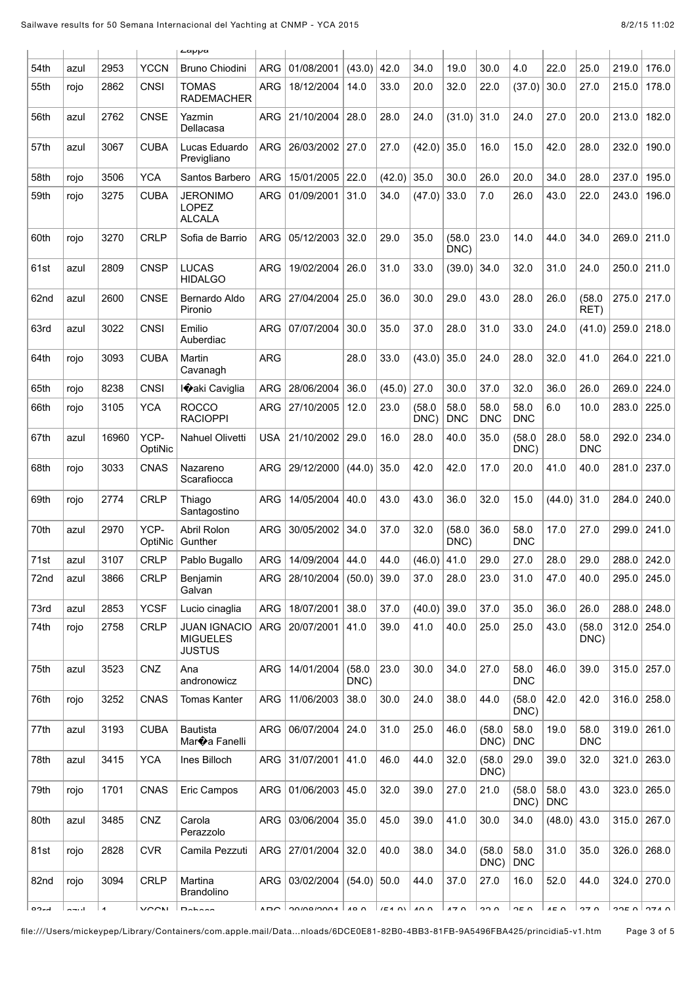|             |      |                |                 | Lappa                                                     |                |               |                 |                  |                     |                    |                    |                    |                    |                    |       |                             |
|-------------|------|----------------|-----------------|-----------------------------------------------------------|----------------|---------------|-----------------|------------------|---------------------|--------------------|--------------------|--------------------|--------------------|--------------------|-------|-----------------------------|
| 54th        | azul | 2953           | <b>YCCN</b>     | <b>Bruno Chiodini</b>                                     | <b>ARG</b>     | 01/08/2001    | (43.0)          | 42.0             | 34.0                | 19.0               | 30.0               | 4.0                | 22.0               | 25.0               | 219.0 | 176.0                       |
| 55th        | rojo | 2862           | <b>CNSI</b>     | TOMAS<br><b>RADEMACHER</b>                                | <b>ARG</b>     | 18/12/2004    | 14.0            | 33.0             | 20.0                | 32.0               | 22.0               | (37.0)             | 30.0               | 27.0               | 215.0 | 178.0                       |
| 56th        | azul | 2762           | <b>CNSE</b>     | Yazmin<br>Dellacasa                                       | <b>ARG</b>     | 21/10/2004    | 28.0            | 28.0             | 24.0                | (31.0)             | 31.0               | 24.0               | 27.0               | 20.0               | 213.0 | 182.0                       |
| 57th        | azul | 3067           | <b>CUBA</b>     | Lucas Eduardo<br>Previgliano                              | <b>ARG</b>     | 26/03/2002    | 27.0            | 27.0             | (42.0)              | 35.0               | 16.0               | 15.0               | 42.0               | 28.0               | 232.0 | 190.0                       |
| 58th        | rojo | 3506           | <b>YCA</b>      | Santos Barbero                                            | <b>ARG</b>     | 15/01/2005    | 22.0            | (42.0)           | 35.0                | 30.0               | 26.0               | 20.0               | 34.0               | 28.0               | 237.0 | 195.0                       |
| 59th        | rojo | 3275           | <b>CUBA</b>     | <b>JERONIMO</b><br><b>LOPEZ</b><br><b>ALCALA</b>          | <b>ARG</b>     | 01/09/2001    | 31.0            | 34.0             | (47.0)              | 33.0               | 7.0                | 26.0               | 43.0               | 22.0               | 243.0 | 196.0                       |
| 60th        | rojo | 3270           | <b>CRLP</b>     | Sofia de Barrio                                           | <b>ARG</b>     | 05/12/2003    | 32.0            | 29.0             | 35.0                | (58.0)<br>DNC)     | 23.0               | 14.0               | 44.0               | 34.0               | 269.0 | 211.0                       |
| 61st        | azul | 2809           | <b>CNSP</b>     | <b>LUCAS</b><br><b>HIDALGO</b>                            | <b>ARG</b>     | 19/02/2004    | 26.0            | 31.0             | 33.0                | (39.0)             | 34.0               | 32.0               | 31.0               | 24.0               | 250.0 | 211.0                       |
| 62nd        | azul | 2600           | <b>CNSE</b>     | Bernardo Aldo<br>Pironio                                  | <b>ARG</b>     | 27/04/2004    | 25.0            | 36.0             | 30.0                | 29.0               | 43.0               | 28.0               | 26.0               | (58.0)<br>RET)     | 275.0 | 217.0                       |
| 63rd        | azul | 3022           | <b>CNSI</b>     | Emilio<br>Auberdiac                                       | <b>ARG</b>     | 07/07/2004    | 30.0            | 35.0             | 37.0                | 28.0               | 31.0               | 33.0               | 24.0               | (41.0)             | 259.0 | 218.0                       |
| 64th        | rojo | 3093           | <b>CUBA</b>     | Martin<br>Cavanagh                                        | <b>ARG</b>     |               | 28.0            | 33.0             | (43.0)              | 35.0               | 24.0               | 28.0               | 32.0               | 41.0               | 264.0 | 221.0                       |
| 65th        | rojo | 8238           | <b>CNSI</b>     | I�aki Caviglia                                            | <b>ARG</b>     | 28/06/2004    | 36.0            | (45.0)           | 27.0                | 30.0               | 37.0               | 32.0               | 36.0               | 26.0               | 269.0 | 224.0                       |
| 66th        | rojo | 3105           | <b>YCA</b>      | <b>ROCCO</b><br><b>RACIOPPI</b>                           | <b>ARG</b>     | 27/10/2005    | 12.0            | 23.0             | (58.0)<br>DNC)      | 58.0<br><b>DNC</b> | 58.0<br><b>DNC</b> | 58.0<br><b>DNC</b> | 6.0                | 10.0               | 283.0 | 225.0                       |
| 67th        | azul | 16960          | YCP-<br>OptiNic | Nahuel Olivetti                                           | <b>USA</b>     | 21/10/2002    | 29.0            | 16.0             | 28.0                | 40.0               | 35.0               | (58.0)<br>DNC)     | 28.0               | 58.0<br><b>DNC</b> | 292.0 | 234.0                       |
| 68th        | rojo | 3033           | <b>CNAS</b>     | Nazareno<br>Scarafiocca                                   | <b>ARG</b>     | 29/12/2000    | (44.0)          | 35.0             | 42.0                | 42.0               | 17.0               | 20.0               | 41.0               | 40.0               | 281.0 | 237.0                       |
| 69th        | rojo | 2774           | <b>CRLP</b>     | Thiago<br>Santagostino                                    | <b>ARG</b>     | 14/05/2004    | 40.0            | 43.0             | 43.0                | 36.0               | 32.0               | 15.0               | (44.0)             | 31.0               | 284.0 | 240.0                       |
| 70th        | azul | 2970           | YCP-<br>OptiNic | Abril Rolon<br>Gunther                                    | <b>ARG</b>     | 30/05/2002    | 34.0            | 37.0             | 32.0                | (58.0)<br>DNC)     | 36.0               | 58.0<br><b>DNC</b> | 17.0               | 27.0               | 299.0 | 241.0                       |
| 71st        | azul | 3107           | <b>CRLP</b>     | Pablo Bugallo                                             | ARG            | 14/09/2004    | 44.0            | 44.0             | (46.0)              | 41.0               | 29.0               | 27.0               | 28.0               | 29.0               | 288.0 | 242.0                       |
| 72nd        | azul | 3866           | <b>CRLP</b>     | Benjamin<br>Galvan                                        | <b>ARG</b>     | 28/10/2004    | (50.0)          | 39.0             | 37.0                | 28.0               | 23.0               | 31.0               | 47.0               | 40.0               | 295.0 | 245.0                       |
| 73rd        | azul | 2853           | <b>YCSF</b>     | Lucio cinaglia                                            | <b>ARG</b>     | 18/07/2001    | 38.0            | 37.0             | (40.0)              | 39.0               | 37.0               | 35.0               | 36.0               | 26.0               | 288.0 | 248.0                       |
| 74th        | rojo | 2758           | <b>CRLP</b>     | <b>JUAN IGNACIO</b><br><b>MIGUELES</b><br><b>JUSTUS</b>   | ARG            | 20/07/2001    | 41.0            | 39.0             | 41.0                | 40.0               | 25.0               | 25.0               | 43.0               | (58.0)<br>DNC)     | 312.0 | 254.0                       |
| 75th        | azul | 3523           | CNZ             | Ana<br>andronowicz                                        | <b>ARG</b>     | 14/01/2004    | (58.0)<br>DNC)  | 23.0             | 30.0                | 34.0               | 27.0               | 58.0<br><b>DNC</b> | 46.0               | 39.0               | 315.0 | 257.0                       |
| 76th        | rojo | 3252           | <b>CNAS</b>     | <b>Tomas Kanter</b>                                       | ARG            | 11/06/2003    | 38.0            | 30.0             | 24.0                | 38.0               | 44.0               | (58.0)<br>DNC)     | 42.0               | 42.0               | 316.0 | 258.0                       |
| 77th        | azul | 3193           | <b>CUBA</b>     | <b>Bautista</b><br>Mar $\hat{\mathbf{\bullet}}$ a Fanelli | ARG            | 06/07/2004    | 24.0            | 31.0             | 25.0                | 46.0               | (58.0)<br>DNC)     | 58.0<br><b>DNC</b> | 19.0               | 58.0<br><b>DNC</b> | 319.0 | 261.0                       |
| 78th        | azul | 3415           | <b>YCA</b>      | Ines Billoch                                              | ARG            | 31/07/2001    | 41.0            | 46.0             | 44.0                | 32.0               | (58.0)<br>DNC)     | 29.0               | 39.0               | 32.0               | 321.0 | 263.0                       |
| 79th        | rojo | 1701           | <b>CNAS</b>     | Eric Campos                                               | ARG            | 01/06/2003    | 45.0            | 32.0             | 39.0                | 27.0               | 21.0               | (58.0)<br>DNC)     | 58.0<br><b>DNC</b> | 43.0               | 323.0 | 265.0                       |
| 80th        | azul | 3485           | CNZ             | Carola<br>Perazzolo                                       | ARG            | 03/06/2004    | 35.0            | 45.0             | 39.0                | 41.0               | 30.0               | 34.0               | (48.0)             | 43.0               | 315.0 | 267.0                       |
| 81st        | rojo | 2828           | <b>CVR</b>      | Camila Pezzuti                                            | ARG            | 27/01/2004    | 32.0            | 40.0             | 38.0                | 34.0               | (58.0)<br>DNC)     | 58.0<br><b>DNC</b> | 31.0               | 35.0               | 326.0 | 268.0                       |
| 82nd        | rojo | 3094           | <b>CRLP</b>     | Martina<br>Brandolino                                     | ARG            | 03/02/2004    | $(54.0)$ 50.0   |                  | 44.0                | 37.0               | 27.0               | 16.0               | 52.0               | 44.0               | 324.0 | 270.0                       |
| <b>DO-4</b> | ---- | $\overline{A}$ | VOON            | $D - b - c$                                               | $\overline{A}$ | $\frac{1}{2}$ | 10 <sub>0</sub> | $1.54 \text{ N}$ | $\Lambda$ $\Lambda$ | 170                | 220                | 250                | $AE$ $\Omega$      | 270                |       | $\sim$ $\sim$ $\sim$ $\sim$ |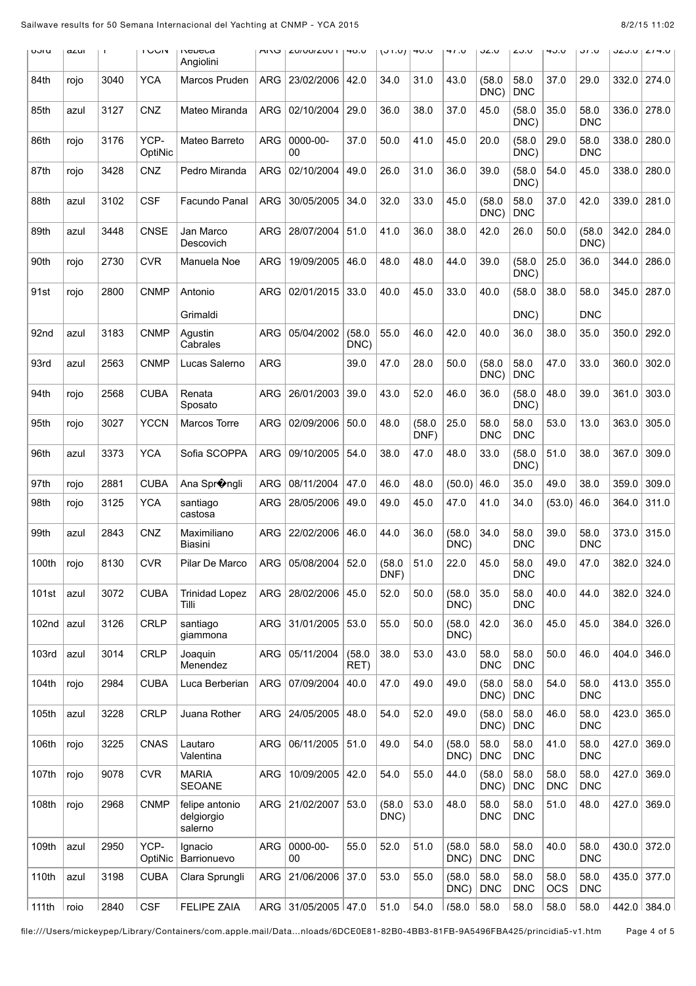| oolu             | a∠uı | $\mathbf{I}$ | <b>IUUIV</b>    | Repeca<br>Angiolini                     | <b>ARU</b> | LUIVOIZUU I         | 40.0           | $(01.0)$  40.0 |                | 41.0           | ∪.∠د               | <b>∠0.0</b>        | 40.U               | <b>J.IU</b>        |       | JZJ.U   Z14.U |
|------------------|------|--------------|-----------------|-----------------------------------------|------------|---------------------|----------------|----------------|----------------|----------------|--------------------|--------------------|--------------------|--------------------|-------|---------------|
| 84th             | rojo | 3040         | <b>YCA</b>      | Marcos Pruden                           | <b>ARG</b> | 23/02/2006          | 42.0           | 34.0           | 31.0           | 43.0           | (58.0)<br>DNC)     | 58.0<br><b>DNC</b> | 37.0               | 29.0               | 332.0 | 274.0         |
| 85th             | azul | 3127         | CNZ             | Mateo Miranda                           | <b>ARG</b> | 02/10/2004          | 29.0           | 36.0           | 38.0           | 37.0           | 45.0               | (58.0)<br>DNC)     | 35.0               | 58.0<br><b>DNC</b> | 336.0 | 278.0         |
| 86th             | rojo | 3176         | YCP-<br>OptiNic | Mateo Barreto                           | <b>ARG</b> | 0000-00-<br>00      | 37.0           | 50.0           | 41.0           | 45.0           | 20.0               | (58.0)<br>DNC)     | 29.0               | 58.0<br><b>DNC</b> | 338.0 | 280.0         |
| 87th             | rojo | 3428         | <b>CNZ</b>      | Pedro Miranda                           | <b>ARG</b> | 02/10/2004          | 49.0           | 26.0           | 31.0           | 36.0           | 39.0               | (58.0)<br>DNC)     | 54.0               | 45.0               | 338.0 | 280.0         |
| 88th             | azul | 3102         | <b>CSF</b>      | Facundo Panal                           | <b>ARG</b> | 30/05/2005          | 34.0           | 32.0           | 33.0           | 45.0           | (58.0)<br>DNC)     | 58.0<br><b>DNC</b> | 37.0               | 42.0               | 339.0 | 281.0         |
| 89th             | azul | 3448         | <b>CNSE</b>     | Jan Marco<br>Descovich                  | <b>ARG</b> | 28/07/2004          | 51.0           | 41.0           | 36.0           | 38.0           | 42.0               | 26.0               | 50.0               | (58.0)<br>DNC)     | 342.0 | 284.0         |
| 90th             | rojo | 2730         | <b>CVR</b>      | Manuela Noe                             | <b>ARG</b> | 19/09/2005          | 46.0           | 48.0           | 48.0           | 44.0           | 39.0               | (58.0)<br>DNC)     | 25.0               | 36.0               | 344.0 | 286.0         |
| 91st             | rojo | 2800         | <b>CNMP</b>     | Antonio                                 | ARG        | 02/01/2015          | 33.0           | 40.0           | 45.0           | 33.0           | 40.0               | (58.0)             | 38.0               | 58.0               | 345.0 | 287.0         |
|                  |      |              |                 | Grimaldi                                |            |                     |                |                |                |                |                    | DNC)               |                    | <b>DNC</b>         |       |               |
| 92 <sub>nd</sub> | azul | 3183         | CNMP            | Agustin<br>Cabrales                     | ARG        | 05/04/2002          | (58.0)<br>DNC) | 55.0           | 46.0           | 42.0           | 40.0               | 36.0               | 38.0               | 35.0               | 350.0 | 292.0         |
| 93rd             | azul | 2563         | <b>CNMP</b>     | Lucas Salerno                           | <b>ARG</b> |                     | 39.0           | 47.0           | 28.0           | 50.0           | (58.0)<br>DNC)     | 58.0<br><b>DNC</b> | 47.0               | 33.0               | 360.0 | 302.0         |
| 94th             | rojo | 2568         | <b>CUBA</b>     | Renata<br>Sposato                       | <b>ARG</b> | 26/01/2003          | 39.0           | 43.0           | 52.0           | 46.0           | 36.0               | (58.0)<br>DNC)     | 48.0               | 39.0               | 361.0 | 303.0         |
| 95th             | rojo | 3027         | <b>YCCN</b>     | Marcos Torre                            | <b>ARG</b> | 02/09/2006          | 50.0           | 48.0           | (58.0)<br>DNF) | 25.0           | 58.0<br><b>DNC</b> | 58.0<br><b>DNC</b> | 53.0               | 13.0               | 363.0 | 305.0         |
| 96th             | azul | 3373         | <b>YCA</b>      | Sofia SCOPPA                            | <b>ARG</b> | 09/10/2005          | 54.0           | 38.0           | 47.0           | 48.0           | 33.0               | (58.0)<br>DNC)     | 51.0               | 38.0               | 367.0 | 309.0         |
| 97th             | rojo | 2881         | <b>CUBA</b>     | Ana Spr�ngli                            | <b>ARG</b> | 08/11/2004          | 47.0           | 46.0           | 48.0           | (50.0)         | 46.0               | 35.0               | 49.0               | 38.0               | 359.0 | 309.0         |
| 98th             | rojo | 3125         | <b>YCA</b>      | santiago<br>castosa                     | <b>ARG</b> | 28/05/2006          | 49.0           | 49.0           | 45.0           | 47.0           | 41.0               | 34.0               | (53.0)             | 46.0               | 364.0 | 311.0         |
| 99th             | azul | 2843         | <b>CNZ</b>      | Maximiliano<br>Biasini                  | <b>ARG</b> | 22/02/2006          | 46.0           | 44.0           | 36.0           | (58.0)<br>DNC) | 34.0               | 58.0<br><b>DNC</b> | 39.0               | 58.0<br><b>DNC</b> | 373.0 | 315.0         |
| 100th            | rojo | 8130         | <b>CVR</b>      | Pilar De Marco                          | <b>ARG</b> | 05/08/2004          | 52.0           | (58.0)<br>DNF) | 51.0           | 22.0           | 45.0               | 58.0<br><b>DNC</b> | 49.0               | 47.0               | 382.0 | 324.0         |
| 101st            | azul | 3072         | <b>CUBA</b>     | <b>Trinidad Lopez</b><br>Tilli          | ARG        | 28/02/2006          | 45.0           | 52.0           | 50.0           | (58.0)<br>DNC) | 35.0               | 58.0<br><b>DNC</b> | 40.0               | 44.0               | 382.0 | 324.0         |
| 102nd            | azul | 3126         | <b>CRLP</b>     | santiago<br>giammona                    | ARG        | 31/01/2005          | 53.0           | 55.0           | 50.0           | (58.0)<br>DNC) | 42.0               | 36.0               | 45.0               | 45.0               | 384.0 | 326.0         |
| 103rd            | azul | 3014         | <b>CRLP</b>     | Joaquin<br>Menendez                     | ARG        | 05/11/2004          | (58.0)<br>RET) | 38.0           | 53.0           | 43.0           | 58.0<br><b>DNC</b> | 58.0<br><b>DNC</b> | 50.0               | 46.0               | 404.0 | 346.0         |
| 104th            | rojo | 2984         | <b>CUBA</b>     | Luca Berberian                          | ARG        | 07/09/2004          | 40.0           | 47.0           | 49.0           | 49.0           | (58.0)<br>DNC)     | 58.0<br><b>DNC</b> | 54.0               | 58.0<br><b>DNC</b> | 413.0 | 355.0         |
| 105th            | azul | 3228         | <b>CRLP</b>     | Juana Rother                            | ARG        | 24/05/2005          | 48.0           | 54.0           | 52.0           | 49.0           | (58.0)<br>DNC)     | 58.0<br><b>DNC</b> | 46.0               | 58.0<br><b>DNC</b> | 423.0 | 365.0         |
| 106th            | rojo | 3225         | <b>CNAS</b>     | Lautaro<br>Valentina                    | <b>ARG</b> | 06/11/2005          | 51.0           | 49.0           | 54.0           | (58.0)<br>DNC) | 58.0<br><b>DNC</b> | 58.0<br><b>DNC</b> | 41.0               | 58.0<br><b>DNC</b> | 427.0 | 369.0         |
| 107th            | rojo | 9078         | <b>CVR</b>      | <b>MARIA</b><br><b>SEOANE</b>           | <b>ARG</b> | 10/09/2005          | 42.0           | 54.0           | 55.0           | 44.0           | (58.0)<br>DNC)     | 58.0<br><b>DNC</b> | 58.0<br><b>DNC</b> | 58.0<br><b>DNC</b> | 427.0 | 369.0         |
| 108th            | rojo | 2968         | <b>CNMP</b>     | felipe antonio<br>delgiorgio<br>salerno | ARG        | 21/02/2007          | 53.0           | (58.0)<br>DNC) | 53.0           | 48.0           | 58.0<br><b>DNC</b> | 58.0<br><b>DNC</b> | 51.0               | 48.0               | 427.0 | 369.0         |
| 109th            | azul | 2950         | YCP-<br>OptiNic | Ignacio<br>Barrionuevo                  | ARG        | 0000-00-<br>00      | 55.0           | 52.0           | 51.0           | (58.0)<br>DNC) | 58.0<br><b>DNC</b> | 58.0<br><b>DNC</b> | 40.0               | 58.0<br><b>DNC</b> | 430.0 | 372.0         |
| 110th            | azul | 3198         | <b>CUBA</b>     | Clara Sprungli                          | ARG        | 21/06/2006          | 37.0           | 53.0           | 55.0           | (58.0)<br>DNC) | 58.0<br><b>DNC</b> | 58.0<br><b>DNC</b> | 58.0<br><b>OCS</b> | 58.0<br><b>DNC</b> | 435.0 | 377.0         |
| 111th            | roio | 2840         | <b>CSF</b>      | <b>FELIPE ZAIA</b>                      |            | ARG 31/05/2005 47.0 |                | 51.0           | 54.0           | (58.0)         | 58.0               | 58.0               | 58.0               | 58.0               |       | 442.0 384.0   |